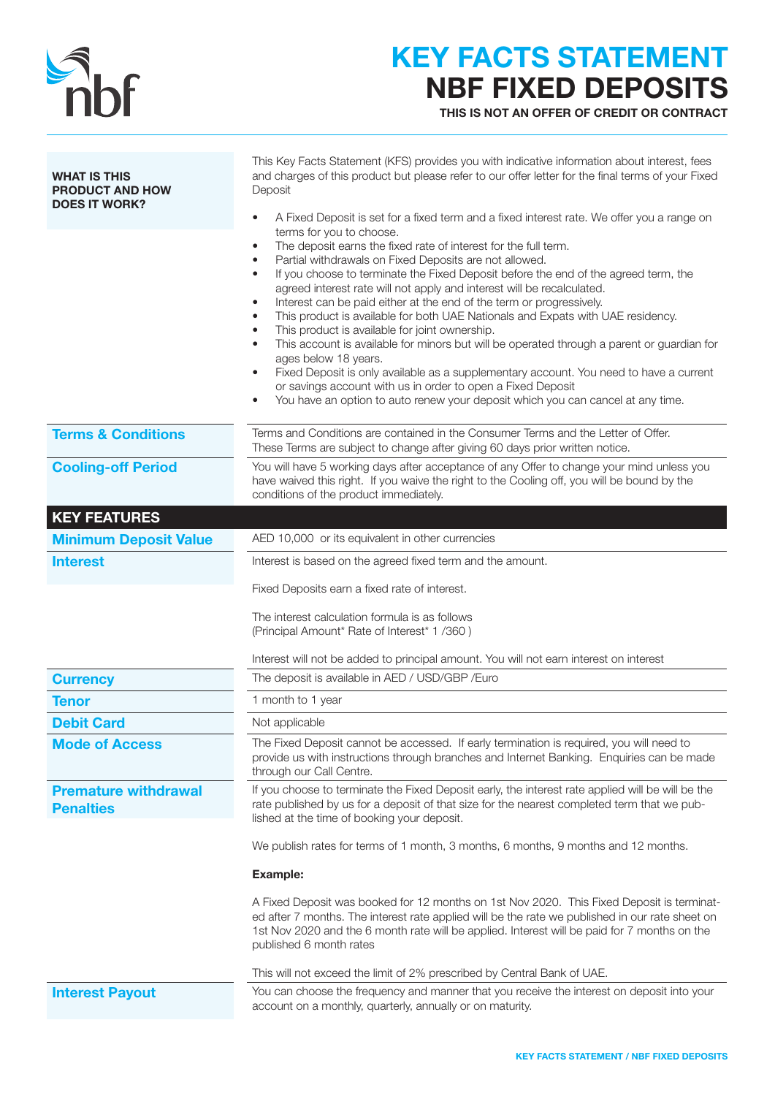

## KEY FACTS STATEMENT NBF FIXED DEPOSITS

THIS IS NOT AN OFFER OF CREDIT OR CONTRACT

| <b>WHAT IS THIS</b><br><b>PRODUCT AND HOW</b><br><b>DOES IT WORK?</b> | This Key Facts Statement (KFS) provides you with indicative information about interest, fees<br>and charges of this product but please refer to our offer letter for the final terms of your Fixed<br>Deposit<br>A Fixed Deposit is set for a fixed term and a fixed interest rate. We offer you a range on<br>terms for you to choose.<br>The deposit earns the fixed rate of interest for the full term.<br>$\bullet$<br>Partial withdrawals on Fixed Deposits are not allowed.<br>٠<br>If you choose to terminate the Fixed Deposit before the end of the agreed term, the<br>agreed interest rate will not apply and interest will be recalculated.<br>Interest can be paid either at the end of the term or progressively.<br>٠<br>This product is available for both UAE Nationals and Expats with UAE residency.<br>This product is available for joint ownership.<br>This account is available for minors but will be operated through a parent or guardian for<br>ages below 18 years.<br>Fixed Deposit is only available as a supplementary account. You need to have a current<br>٠<br>or savings account with us in order to open a Fixed Deposit<br>You have an option to auto renew your deposit which you can cancel at any time. |
|-----------------------------------------------------------------------|--------------------------------------------------------------------------------------------------------------------------------------------------------------------------------------------------------------------------------------------------------------------------------------------------------------------------------------------------------------------------------------------------------------------------------------------------------------------------------------------------------------------------------------------------------------------------------------------------------------------------------------------------------------------------------------------------------------------------------------------------------------------------------------------------------------------------------------------------------------------------------------------------------------------------------------------------------------------------------------------------------------------------------------------------------------------------------------------------------------------------------------------------------------------------------------------------------------------------------------------------|
| <b>Terms &amp; Conditions</b>                                         | Terms and Conditions are contained in the Consumer Terms and the Letter of Offer.<br>These Terms are subject to change after giving 60 days prior written notice.                                                                                                                                                                                                                                                                                                                                                                                                                                                                                                                                                                                                                                                                                                                                                                                                                                                                                                                                                                                                                                                                                |
| <b>Cooling-off Period</b>                                             | You will have 5 working days after acceptance of any Offer to change your mind unless you<br>have waived this right. If you waive the right to the Cooling off, you will be bound by the<br>conditions of the product immediately.                                                                                                                                                                                                                                                                                                                                                                                                                                                                                                                                                                                                                                                                                                                                                                                                                                                                                                                                                                                                               |
| <b>KEY FEATURES</b>                                                   |                                                                                                                                                                                                                                                                                                                                                                                                                                                                                                                                                                                                                                                                                                                                                                                                                                                                                                                                                                                                                                                                                                                                                                                                                                                  |
| <b>Minimum Deposit Value</b>                                          | AED 10,000 or its equivalent in other currencies                                                                                                                                                                                                                                                                                                                                                                                                                                                                                                                                                                                                                                                                                                                                                                                                                                                                                                                                                                                                                                                                                                                                                                                                 |
| <b>Interest</b>                                                       | Interest is based on the agreed fixed term and the amount.                                                                                                                                                                                                                                                                                                                                                                                                                                                                                                                                                                                                                                                                                                                                                                                                                                                                                                                                                                                                                                                                                                                                                                                       |
|                                                                       | Fixed Deposits earn a fixed rate of interest.<br>The interest calculation formula is as follows<br>(Principal Amount* Rate of Interest* 1 /360)<br>Interest will not be added to principal amount. You will not earn interest on interest                                                                                                                                                                                                                                                                                                                                                                                                                                                                                                                                                                                                                                                                                                                                                                                                                                                                                                                                                                                                        |
| <b>Currency</b>                                                       | The deposit is available in AED / USD/GBP / Euro                                                                                                                                                                                                                                                                                                                                                                                                                                                                                                                                                                                                                                                                                                                                                                                                                                                                                                                                                                                                                                                                                                                                                                                                 |
| <b>Tenor</b>                                                          | 1 month to 1 year                                                                                                                                                                                                                                                                                                                                                                                                                                                                                                                                                                                                                                                                                                                                                                                                                                                                                                                                                                                                                                                                                                                                                                                                                                |
| <b>Debit Card</b>                                                     | Not applicable                                                                                                                                                                                                                                                                                                                                                                                                                                                                                                                                                                                                                                                                                                                                                                                                                                                                                                                                                                                                                                                                                                                                                                                                                                   |
| <b>Mode of Access</b>                                                 | The Fixed Deposit cannot be accessed. If early termination is required, you will need to<br>provide us with instructions through branches and Internet Banking. Enquiries can be made<br>through our Call Centre.                                                                                                                                                                                                                                                                                                                                                                                                                                                                                                                                                                                                                                                                                                                                                                                                                                                                                                                                                                                                                                |
| <b>Premature withdrawal</b><br><b>Penalties</b>                       | If you choose to terminate the Fixed Deposit early, the interest rate applied will be will be the<br>rate published by us for a deposit of that size for the nearest completed term that we pub-<br>lished at the time of booking your deposit.                                                                                                                                                                                                                                                                                                                                                                                                                                                                                                                                                                                                                                                                                                                                                                                                                                                                                                                                                                                                  |
|                                                                       | We publish rates for terms of 1 month, 3 months, 6 months, 9 months and 12 months.                                                                                                                                                                                                                                                                                                                                                                                                                                                                                                                                                                                                                                                                                                                                                                                                                                                                                                                                                                                                                                                                                                                                                               |
|                                                                       | Example:                                                                                                                                                                                                                                                                                                                                                                                                                                                                                                                                                                                                                                                                                                                                                                                                                                                                                                                                                                                                                                                                                                                                                                                                                                         |
|                                                                       | A Fixed Deposit was booked for 12 months on 1st Nov 2020. This Fixed Deposit is terminat-<br>ed after 7 months. The interest rate applied will be the rate we published in our rate sheet on<br>1st Nov 2020 and the 6 month rate will be applied. Interest will be paid for 7 months on the<br>published 6 month rates                                                                                                                                                                                                                                                                                                                                                                                                                                                                                                                                                                                                                                                                                                                                                                                                                                                                                                                          |
|                                                                       | This will not exceed the limit of 2% prescribed by Central Bank of UAE.                                                                                                                                                                                                                                                                                                                                                                                                                                                                                                                                                                                                                                                                                                                                                                                                                                                                                                                                                                                                                                                                                                                                                                          |
| <b>Interest Payout</b>                                                | You can choose the frequency and manner that you receive the interest on deposit into your<br>account on a monthly, quarterly, annually or on maturity.                                                                                                                                                                                                                                                                                                                                                                                                                                                                                                                                                                                                                                                                                                                                                                                                                                                                                                                                                                                                                                                                                          |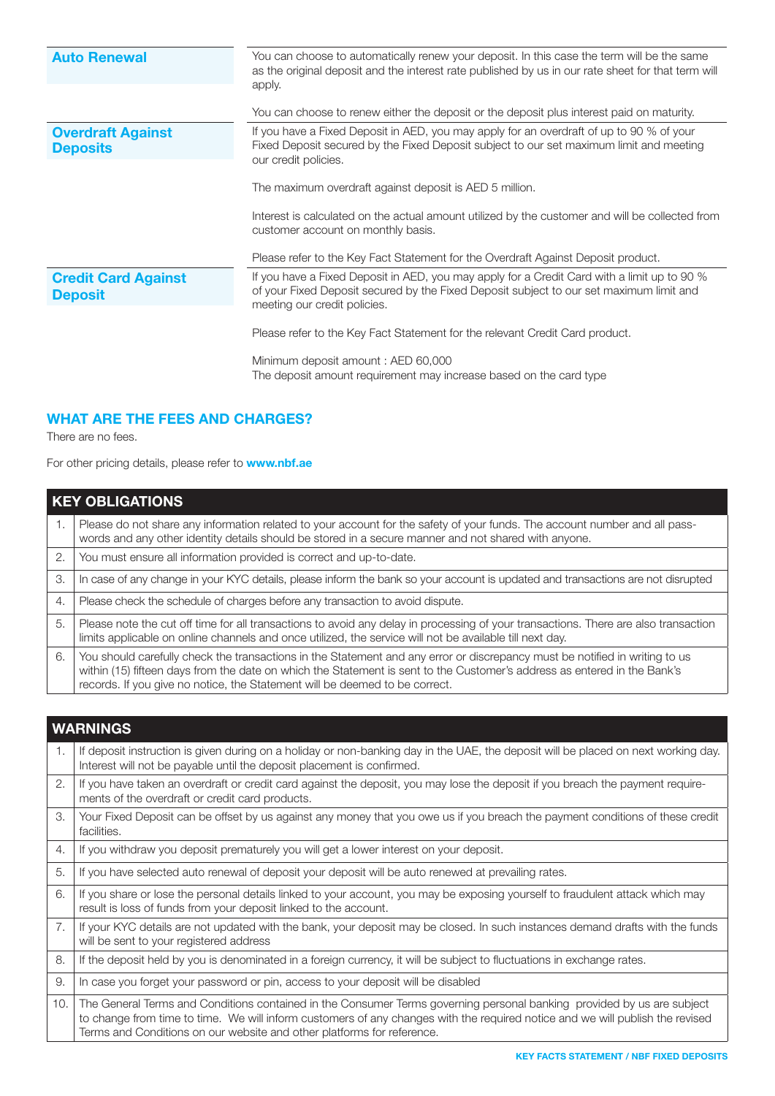| <b>Auto Renewal</b>        | You can choose to automatically renew your deposit. In this case the term will be the same<br>as the original deposit and the interest rate published by us in our rate sheet for that term will<br>apply.<br>You can choose to renew either the deposit or the deposit plus interest paid on maturity. |
|----------------------------|---------------------------------------------------------------------------------------------------------------------------------------------------------------------------------------------------------------------------------------------------------------------------------------------------------|
| <b>Overdraft Against</b>   | If you have a Fixed Deposit in AED, you may apply for an overdraft of up to 90 % of your                                                                                                                                                                                                                |
| <b>Deposits</b>            | Fixed Deposit secured by the Fixed Deposit subject to our set maximum limit and meeting                                                                                                                                                                                                                 |
|                            | our credit policies.                                                                                                                                                                                                                                                                                    |
|                            |                                                                                                                                                                                                                                                                                                         |
|                            | The maximum overdraft against deposit is AED 5 million.                                                                                                                                                                                                                                                 |
|                            |                                                                                                                                                                                                                                                                                                         |
|                            | Interest is calculated on the actual amount utilized by the customer and will be collected from                                                                                                                                                                                                         |
|                            | customer account on monthly basis.                                                                                                                                                                                                                                                                      |
|                            |                                                                                                                                                                                                                                                                                                         |
|                            | Please refer to the Key Fact Statement for the Overdraft Against Deposit product.                                                                                                                                                                                                                       |
| <b>Credit Card Against</b> | If you have a Fixed Deposit in AED, you may apply for a Credit Card with a limit up to 90 %                                                                                                                                                                                                             |
| <b>Deposit</b>             | of your Fixed Deposit secured by the Fixed Deposit subject to our set maximum limit and                                                                                                                                                                                                                 |
|                            | meeting our credit policies.                                                                                                                                                                                                                                                                            |
|                            |                                                                                                                                                                                                                                                                                                         |
|                            | Please refer to the Key Fact Statement for the relevant Credit Card product.                                                                                                                                                                                                                            |
|                            | Minimum deposit amount: AED 60,000                                                                                                                                                                                                                                                                      |
|                            | The deposit amount requirement may increase based on the card type                                                                                                                                                                                                                                      |
|                            |                                                                                                                                                                                                                                                                                                         |

### WHAT ARE THE FEES AND CHARGES?

There are no fees.

For other pricing details, please refer to **www.nbf.ae** 

| <b>KEY OBLIGATIONS</b> |                                                                                                                                                                                                                                                                                                                                        |
|------------------------|----------------------------------------------------------------------------------------------------------------------------------------------------------------------------------------------------------------------------------------------------------------------------------------------------------------------------------------|
| 1.                     | Please do not share any information related to your account for the safety of your funds. The account number and all pass-<br>words and any other identity details should be stored in a secure manner and not shared with anyone.                                                                                                     |
| 2.                     | You must ensure all information provided is correct and up-to-date.                                                                                                                                                                                                                                                                    |
| 3.                     | In case of any change in your KYC details, please inform the bank so your account is updated and transactions are not disrupted                                                                                                                                                                                                        |
| 4.                     | Please check the schedule of charges before any transaction to avoid dispute.                                                                                                                                                                                                                                                          |
| 5.                     | Please note the cut off time for all transactions to avoid any delay in processing of your transactions. There are also transaction<br>limits applicable on online channels and once utilized, the service will not be available till next day.                                                                                        |
| 6.                     | You should carefully check the transactions in the Statement and any error or discrepancy must be notified in writing to us<br>within (15) fifteen days from the date on which the Statement is sent to the Customer's address as entered in the Bank's<br>records. If you give no notice, the Statement will be deemed to be correct. |

| <b>WARNINGS</b> |                                                                                                                                                                                                                                                                                                                                   |
|-----------------|-----------------------------------------------------------------------------------------------------------------------------------------------------------------------------------------------------------------------------------------------------------------------------------------------------------------------------------|
| $\mathbf{1}$ .  | If deposit instruction is given during on a holiday or non-banking day in the UAE, the deposit will be placed on next working day.<br>Interest will not be payable until the deposit placement is confirmed.                                                                                                                      |
| 2.              | If you have taken an overdraft or credit card against the deposit, you may lose the deposit if you breach the payment require-<br>ments of the overdraft or credit card products.                                                                                                                                                 |
| 3.              | Your Fixed Deposit can be offset by us against any money that you owe us if you breach the payment conditions of these credit<br>facilities.                                                                                                                                                                                      |
| 4.              | If you withdraw you deposit prematurely you will get a lower interest on your deposit.                                                                                                                                                                                                                                            |
| 5.              | If you have selected auto renewal of deposit your deposit will be auto renewed at prevailing rates.                                                                                                                                                                                                                               |
| 6.              | If you share or lose the personal details linked to your account, you may be exposing yourself to fraudulent attack which may<br>result is loss of funds from your deposit linked to the account.                                                                                                                                 |
| 7.              | If your KYC details are not updated with the bank, your deposit may be closed. In such instances demand drafts with the funds<br>will be sent to your registered address                                                                                                                                                          |
| 8.              | If the deposit held by you is denominated in a foreign currency, it will be subject to fluctuations in exchange rates.                                                                                                                                                                                                            |
| 9.              | In case you forget your password or pin, access to your deposit will be disabled                                                                                                                                                                                                                                                  |
| 10.             | The General Terms and Conditions contained in the Consumer Terms governing personal banking provided by us are subject<br>to change from time to time. We will inform customers of any changes with the required notice and we will publish the revised<br>Terms and Conditions on our website and other platforms for reference. |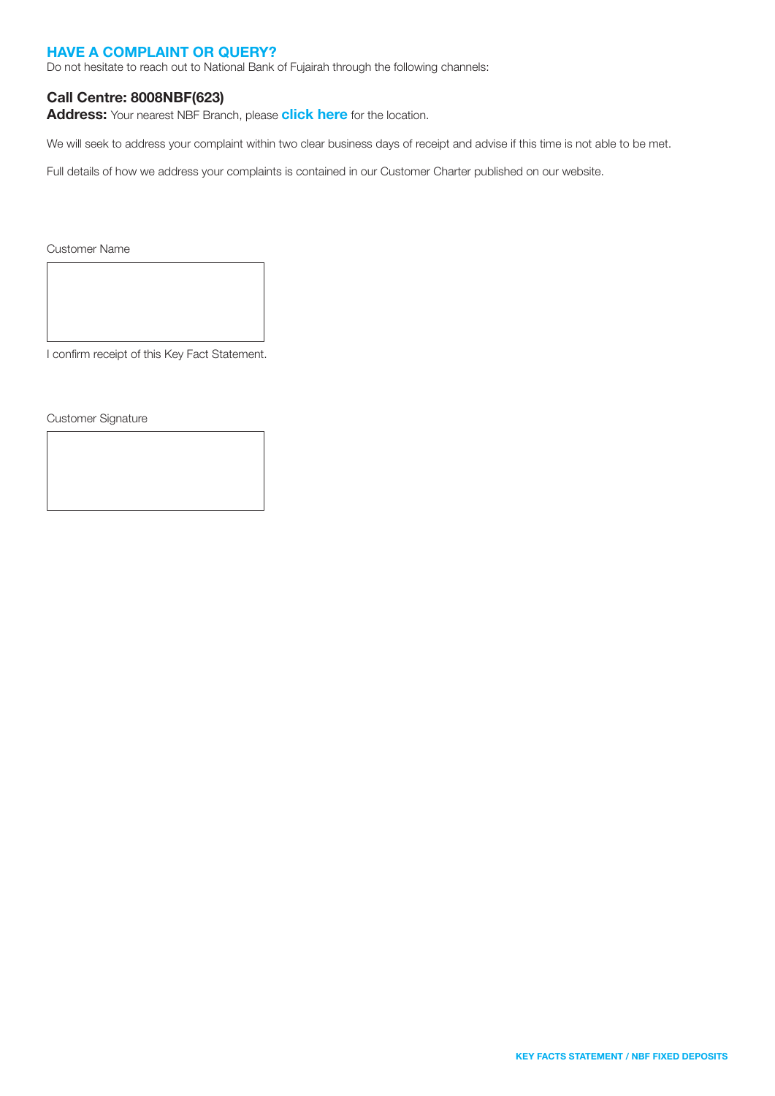### HAVE A COMPLAINT OR QUERY?

Do not hesitate to reach out to National Bank of Fujairah through the following channels:

### Call Centre: 8008NBF(623)

Address: Your nearest NBF Branch, please [click here](https://nbf.ae/en/contact/locations) for the location.

We will seek to address your complaint within two clear business days of receipt and advise if this time is not able to be met.

Full details of how we address your complaints is contained in our Customer Charter published on our website.

Customer Name

I confirm receipt of this Key Fact Statement.

Customer Signature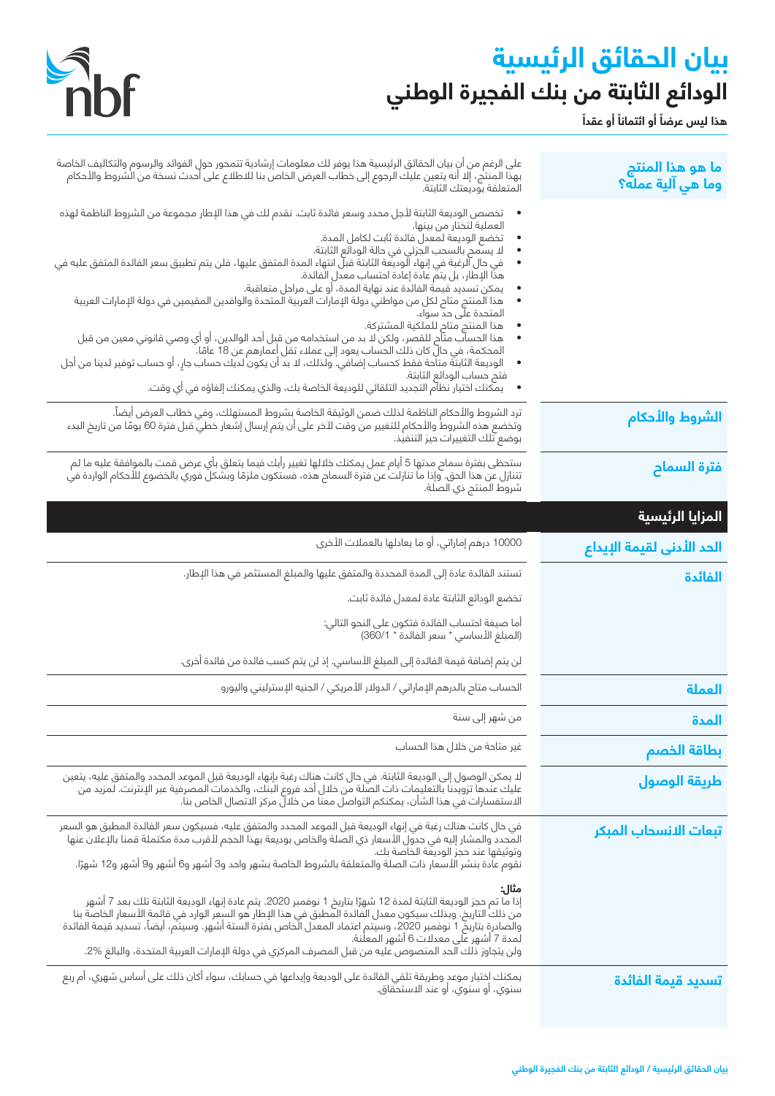# **بيان الحقائق الرئيسية الودائع الثابتة من بنك الفجيرة الوطني**

**ً**

هذا ليس عرضاً أو ائتماناً أو عقداً



| ما هو هذا المنتج<br>وما هي آلية عمله؟ | على الرغم من أن بيان الحقائق الرئيسية هذا يوفر لك معلومات إرشادية تتمحور حول الفوائد والرسوم والتكاليف الخاصة<br>بهذا المنتج، إلا أن يتعين عليك الرجوع إلى خطاب العرض الخاص بنا للاطلاع على أحدث نسخة من الشروط والأحكام<br>المتعلقة بوديعتك الثابتة.                                                                                                                                              |
|---------------------------------------|----------------------------------------------------------------------------------------------------------------------------------------------------------------------------------------------------------------------------------------------------------------------------------------------------------------------------------------------------------------------------------------------------|
|                                       | تخصص الوديعة الثابتة لأجل محدد وسعر فائدة ثابت. نقدم لك في هذا الإطار مجموعة من الشروط الناظمة لهذه<br>العملية لتختار من بينها.<br>تخضع الوديعة لمعدل فائدة ثابت لكامل المدة.                                                                                                                                                                                                                      |
|                                       | لا يسمح بالسحب الجزئي في حالة الودائع الثابتة.<br>في حال الرغبة في إنهاء الّوديّعة الثابتة قبلّ انتهاء المدة المتفق عليها، فلن يتم تطبيق سعر الفائدة المتفق عليه في<br>هذا الإطار، بل يتم عادة إعادة احتساب معدل الفائدة.                                                                                                                                                                          |
|                                       | يمكن تسديد قيمة الفائدة عند نهاية المدة، أو على مراحل متعاقبة.<br>هذا المنتج متاح لكل من مواطني دولة الإمارات العربية المتحدة والوافدين المقيمين في دولة الإمارات العربية<br>المتحدة على حد سواء.                                                                                                                                                                                                  |
|                                       | هذا المنتج متاح للملكية المشتركة.<br>هذا الحساب متاح للقصر، ولكن ُلا بد من استخدامه من قبل أحد الوالدين، أو أي وصي قانوني معين من قبل<br>المحكمة، في حال كان ذلك الحساب يعود إلى عملاء تقل أعمارهم عن 18 عامًا.<br>: الوديعة الثابتة متان تقط كحساب إضافي. ولذلك، لا بد<br>$\bullet$                                                                                                               |
|                                       | فتح حساب الودائع الثابتة.<br>•      يمكنك اختيار نظام التجديد التلقائي للوديعة الخاصة بك، والذي يمكنك إلغاؤه في أي وقت.                                                                                                                                                                                                                                                                            |
| الشروط والأحكام                       | ترد الشروط والأحكام الناظمة لذلك ضمن الوثيقة الخاصة بشروط المستهلك، وفي خطاب العرض أيضاً.<br>وتخضع هذه الشروط والأحكام للتغيير من وقت لآخر على أن يتم إرسال إشعار خطي قبل فترة 60 يومًا من تاريخ البدء<br>بوضع تلك التغييرات حيز التنفيذ.                                                                                                                                                          |
| فترة السماح                           | ستحظى بفترة سماح مدتها 5 أيام عمل يمكنك خلالها تغيير رأيك فيما يتعلق بأي عرض قمت بالموافقة عليه ما لم<br>تتنازل عن هذا الحق. وإذا ما تنازلت عن فترة السماح هذه، فستكون ملزمًا وبشكل فوري بالخضوع للأحكام الواردة في<br>شروط المنتج ذي الصلة.                                                                                                                                                       |
| المزايا الرئيسية                      |                                                                                                                                                                                                                                                                                                                                                                                                    |
| الحد الأدنى لقيمة الإيداع             | 10000 درهم إماراتي، أو ما يعادلها بالعملات الأخرى                                                                                                                                                                                                                                                                                                                                                  |
| الفائدة                               | تستند الفائدة عادة إلى المدة المحددة والمتفق عليها والمبلغ المستثمر في هذا الإطار.                                                                                                                                                                                                                                                                                                                 |
|                                       | تخضع الودائع الثابتة عادة لمعدل فائدة ثابت.                                                                                                                                                                                                                                                                                                                                                        |
|                                       | أما صيغة احتساب الفائدة فتكون على النحو التالي:<br>(المبلغ الأساسي * سعر الفائدة * 1/360)                                                                                                                                                                                                                                                                                                          |
|                                       | لن يتم إضافة قيمة الفائدة إلى المبلغ الأساسي. إذ لن يتم كسب فائدة من فائدة أخرى.                                                                                                                                                                                                                                                                                                                   |
| العملة                                | الحساب متاح بالدرهم الإماراتي / الدولار الأمريكي / الجنيه الإسترليني واليورو                                                                                                                                                                                                                                                                                                                       |
| المدة                                 | من شهر إلى سنة                                                                                                                                                                                                                                                                                                                                                                                     |
| بطاقة الخصم                           | غير متاحة من خلال هذا الحساب                                                                                                                                                                                                                                                                                                                                                                       |
| طريقة الوصول                          | لا يمكن الوصول إلى الوديعة الثابتة. في حال كانت هناك رغبة بإنهاء الوديعة قبل الموعد المحدد والمتفق عليه، يتعين<br>عليك عندها تزويدنا بالتعليمات ذات الصّلة من خلال أحد فروع البنك، والخدمات المصرفية عبر الإنترنت. لمزيد من<br>الاستفسارات في هذا الشأن، يمكنكم التواصل معنا من خلالٌ مركز الاتصال الخاص بنا.                                                                                      |
| تبعات الانسحاب المبكر                 | في حال كانت هناك رغبة في إنهاء الوديعة قبل الموعد المحدد والمتفق عليه، فسيكون سعر الفائدة المطبق هو السعر<br>وتوثيقها عند حجز الوديعة الخاصة بك.                                                                                                                                                                                                                                                   |
|                                       | نقوم عادة بنشر الأسعار ذات الصلة والمتعلقة بالشروط الخاصة بشهر واحد و3 أشهر و6 أشهر و9 أشهر و12 شهرًا.                                                                                                                                                                                                                                                                                             |
|                                       | مثال:<br>إذا ما تم حجز الوديعة الثابتة لمدة 12 شهرًا بتاريخ 1 نوفمبر 2020. يتم عادة إنهاء الوديعة الثابتة تلك بعد 7 أشهر<br>من ذلك التاريخ. وبذلك سيكون معدل الفائدة المطبق في هذا الإطار هو السعر الوارد في قائمة الأسعار الخاصة بنا<br>والّصادرة بتاريّض 1 نوفمبر 2020، وسيّتم اعتماد المعدل الّخاص بفترة الستة أشهر. وسيتم، أيضاً، تسديد قيمة الفائدة<br>لمدة 7 أشهر على معدلات 6 أشهر المعلنة. |
|                                       |                                                                                                                                                                                                                                                                                                                                                                                                    |
|                                       | ولن يتجاوز ذلك الحد المنصوص عليه من قبل المصرف المركزي في دولة الإمارات العربية المتحدة، والبالغ %2.<br>يمكنك اِختيار موعدِ وطريقة تلقي الفائدة على الوديعة وإيداعها فى حسابك، سواء أكان ذلك على أساس شهري، أم ربع                                                                                                                                                                                 |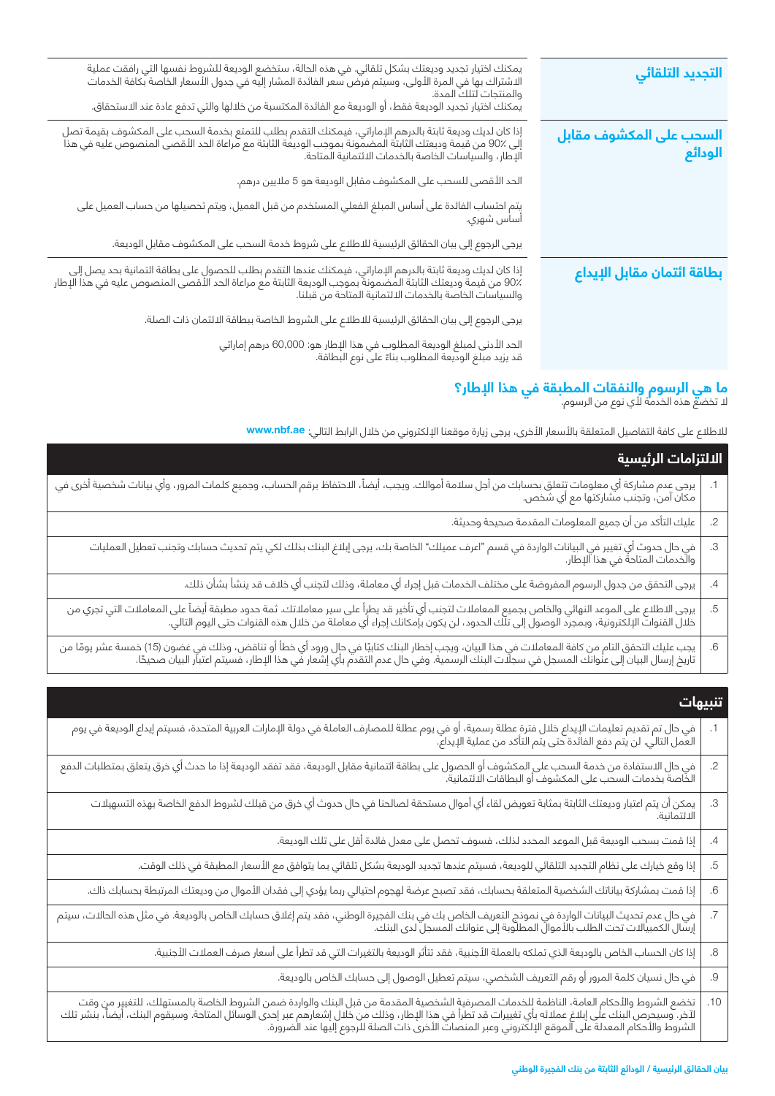| التجديد التلقائي                   | يمكنك اختيار تجديد وديعتك بشكل تلقائي. في هذه الحالة، ستخضع الوديعة للشروط نفسها التي رافقت عملية<br>الاشتراك بها في المرة الأولى، وسيتم فرض سعر الفائدة المشار إليه في جدول الأسعار الخاصة بكافة الخدمات<br>والمنتجات لتلك المدة.<br>يمكنك اختيار تجديد الوديعة فقط، أو الوديعة مع الفائدة المكتسبة من خلالها والتي تدفع عادة عند الاستحقاق. |
|------------------------------------|-----------------------------------------------------------------------------------------------------------------------------------------------------------------------------------------------------------------------------------------------------------------------------------------------------------------------------------------------|
| السحب على المكشوف مقابل<br>الودائع | إذا كان لديك وديعة ثابتة بالدرهم الإماراتي، فيمكنك التقدم بطلب للتمتع بخدمة السحب على المكشوف بقيمة تصل<br>إلى 90٪ من قيمة وديعتك الثابتة المضمونة بموجب الوديعة الثابتة مع مراعاة الحد الأقصى المنصوص عليه في هذا<br>الإطار، والسي                                                                                                           |
|                                    | الحد الأقصى للسحب على المكشوف مقابل الوديعة هو 5 ملايين درهم.                                                                                                                                                                                                                                                                                 |
|                                    | يتم احتساب الفائدة على أساس المبلغ الفعلي المستخدم من قبل العميل، ويتم تحصيلها من حساب العميل على<br>أساس شهري.                                                                                                                                                                                                                               |
|                                    | يرجى الرجوع إلى بيان الحقائق الرئيسية للاطلاع على شروط خدمة السحب على المكشوف مقابل الوديعة.                                                                                                                                                                                                                                                  |
| بطاقة ائتمان مقابل الإيداع         | إذا كان لديك وديعة ثابتة بالدرهم الإماراتي، فيمكنك عندها التقدم بطلب للحصول على بطاقة ائتمانية بحد يصل إلى<br>90٪ من قيمة وديعتك الثابتة المضمونة بموجب الوديعة الثابتة مع مراعاة الحد الأقصى المنصوص عليه في هذا الإطار<br>والسياس                                                                                                           |
|                                    | يرجى الرجوع إلى بيان الحقائق الرئيسية للاطلاع على الشروط الخاصة ببطاقة الائتمان ذات الصلة.                                                                                                                                                                                                                                                    |
|                                    | الحد الأدنى لمبلغ الوديعة المطلوب في هذا الإطار هو: 60,000 درهم إماراتي<br>قد يزيد مبلغ الوديعة المطلوب بناءً على نوع البطاقة.                                                                                                                                                                                                                |
|                                    |                                                                                                                                                                                                                                                                                                                                               |

# ال تخضع هذه الخدمة ألي نوع من الرسوم. **ما هي الرسوم والنفقات المطبقة في هذا اإلطار؟**

لالطالع على كافة التفاصيل المتعلقة باألسعار األخرى، يرجى زيارة موقعنا اإللكتروني من خالل الرابط التالي: **ae.nbf.www**

|    | الالتزامات الرئيسية                                                                                                                                                                                                              |  |
|----|----------------------------------------------------------------------------------------------------------------------------------------------------------------------------------------------------------------------------------|--|
|    | يرجى عدم مشاركة أي معلومات تتعلق بحسابك من أجل سلامة أموالك. ويجب، أيضاً، الاحتفاظ برقم الحساب، وجميع كلمات المرور، وأي بيانات شخصية أخرى في<br>مكان آمن، وتجنب مشاركتها مع أي شخص.                                              |  |
| .2 | عليك التأكد من أن جميع المعلومات المقدمة صحيحة وحديثة.                                                                                                                                                                           |  |
| .3 | في حال حدوث أي تغيير في البيانات الواردة في قسم "اعرف عميلك" الخاصة بك، يرجى إبلاغ البنك بذلك لكي يتم تحديث حسابك وتجنب تعطيل العمليات<br>والخدمات المتاحة في هذا الإطار.                                                        |  |
| .4 | يرجى التحقق من جدول الرسوم المفروضة على مختلف الخدمات قبل إجراء أي معاملة، وذلك لتجنب أي خلاف قد ينشأ بشأن ذلك.                                                                                                                  |  |
| .5 | يرجى الاطلاع على الموعد النهائي والخاص بجميع المعاملات لتجنب أي تأخير قد يطرأ على سير معاملاتك. ثمة حدود مطبقة أيضاً على المعاملات التي تجري من<br>خلال القنوات الإلكترونية، وبمجرد الوصول إلى تلك الحدود، لن يكون بإمكانك إجراء |  |
| .6 | يجب عليك التحقق التام من كافة المعاملات في هذا البيان، ويجب إخطار البنك كتابيًا في حال ورود أي خطأ أو تناقض، وذلك في غضون (15) خمسة عشر يومًا من<br>تاريخ إرسال البيان إلى عنوانك المسجل في سجلات البنك الرسمية. وفي حال عدم الت |  |

| تنبيهات                                                                                                                                                                                                                           |  |
|-----------------------------------------------------------------------------------------------------------------------------------------------------------------------------------------------------------------------------------|--|
| 1.     في حال تم تقديم تعليمات الإيداع خلال فترة عطلة رسمية، أو في يوم عطلة للمصارف العاملة في دولة الإمارات العربية المتحدة، فسيتم إيداع الوديعة في يوم<br>  العمل التالي. لن يتم دفع الفائدة حتى يتم التأكد من عملية الإيداع. " |  |

|    | العمل التالي. لن يتم دفع الفائدة حتى يتم التاكد من عملية الإيداع.                                                                                                                                                            |
|----|------------------------------------------------------------------------------------------------------------------------------------------------------------------------------------------------------------------------------|
| .2 | في حال الاستفادة من خدمة السحب على المكشوف أو الحصول على بطاقة ائتمانية مقابل الوديعة، فقد تفقد الوديعة إذا ما حدث أي خرق يتعلق بمتطلبات الدفع<br>الخاصة بخدمات السحب على المكشوف أو البطاقات الائتمانية.                    |
| .З | <br>  يمكن أن يتم اعتبار وديعتك الثابتة بمثابة تعويض لقاء أي أموال مستحقة لصالحنا في حال حدوث أي خرق من قبلك لشروط الدفع الخاصة بهذه التسهيلات<br>  الائتمانية.                                                              |
| .4 | إذا قمت بسحب الوديعة قبل الموعد المحدد لذلك، فسوف تحصل على معدل فائدة أقل على تلك الوديعة.                                                                                                                                   |
| .5 | إذا وقع خيارك على نظام التجديد التلقائي للوديعة، فسيتم عندها تجديد الوديعة بشكل تلقائي بما يتوافق مع الأسعار المطبقة في ذلك الوقت.                                                                                           |
| .6 | إذا قمت بمشاركة بياناتك الشخصية المتعلقة بحسابك، فقد تصبح عرضة لهجوم احتيالي ربما يؤدي إلى فقدان الأموال من وديعتك المرتبطة بحسابك ذاك.                                                                                      |
|    | في حال عدم تحديث البيانات الواردة في نموذج التعريف الخاص بك في بنك الفجيرة الوطني، فقد يتم إغلاق حسابك الخاص بالوديعة. في مثل هذه الحالات، سيتم<br>إرسال الكمبيالات تحت الطلب بالأموال المطلوبة إلى عنوانك المسجل لدى البنك. |
| 8. | إذا كان الحساب الخاص بالوديعة الذي تملكه بالعملة الأجنبية، فقد تتأثر الوديعة بالتغيرات التي قد تطرأ على أسعار صرف العملات الأجنبية.                                                                                          |
| .9 | في حال نسيان كلمة المرور أو رقم التعريف الشخصي، سيتم تعطيل الوصول إلى حسابك الخاص بالوديعة.                                                                                                                                  |

تخضع الشروط واألحكام العامة، الناظمة للخدمات المصرفية الشخصية المقدمة من قبل البنك والواردة ضمن الشروط الخاصة بالمستهلك، للتغيير من وقت لآخر. وسيحرص البنك على إبلاغ عملائه بأي تغييرات قد تطرأ في هذا الإطار، وذلك من خلال إشعارهم عبر إحدى الوسائل المتاحة. وسيقوم البنك، أيضاً، بنشر تلك الشروط واألحكام المعدلة على الموقع اإللكتروني وعبر المنصات األخرى ذات الصلة للرجوع إليها عند الضرورة. .10